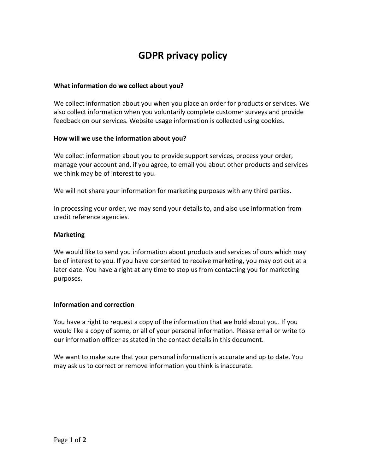# **GDPR privacy policy**

## **What information do we collect about you?**

We collect information about you when you place an order for products or services. We also collect information when you voluntarily complete customer surveys and provide feedback on our services. Website usage information is collected using cookies.

## **How will we use the information about you?**

We collect information about you to provide support services, process your order, manage your account and, if you agree, to email you about other products and services we think may be of interest to you.

We will not share your information for marketing purposes with any third parties.

In processing your order, we may send your details to, and also use information from credit reference agencies.

## **Marketing**

We would like to send you information about products and services of ours which may be of interest to you. If you have consented to receive marketing, you may opt out at a later date. You have a right at any time to stop us from contacting you for marketing purposes.

## **Information and correction**

You have a right to request a copy of the information that we hold about you. If you would like a copy of some, or all of your personal information. Please email or write to our information officer as stated in the contact details in this document.

We want to make sure that your personal information is accurate and up to date. You may ask us to correct or remove information you think is inaccurate.